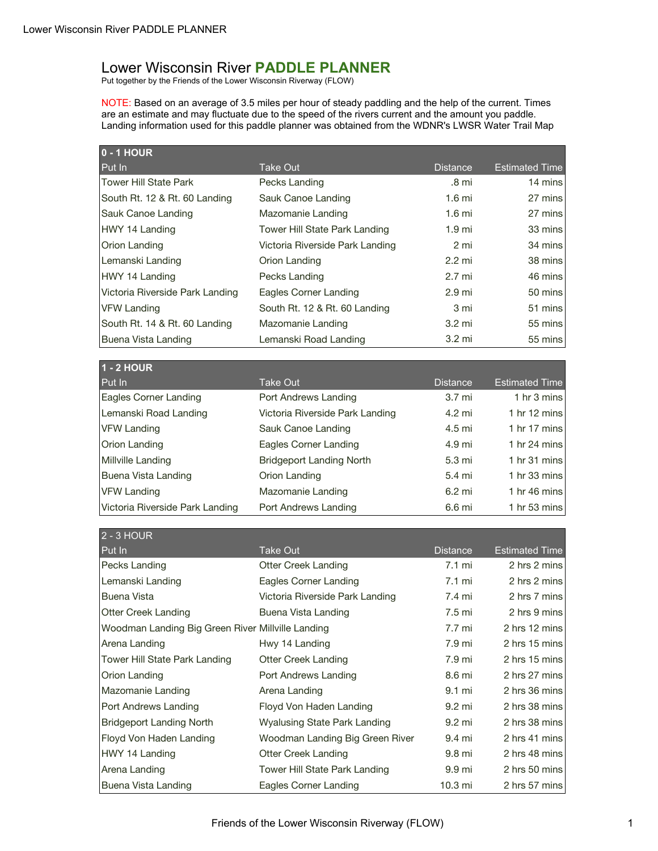## Lower Wisconsin River **PADDLE PLANNER**

Put together by the Friends of the Lower Wisconsin Riverway (FLOW)

NOTE: Based on an average of 3.5 miles per hour of steady paddling and the help of the current. Times are an estimate and may fluctuate due to the speed of the rivers current and the amount you paddle. Landing information used for this paddle planner was obtained from the WDNR's LWSR Water Trail Map

| <b>0 - 1 HOUR</b>               |                                 |                   |                        |
|---------------------------------|---------------------------------|-------------------|------------------------|
| Put In                          | <b>Take Out</b>                 | <b>Distance</b>   | <b>Estimated Time</b>  |
| <b>Tower Hill State Park</b>    | Pecks Landing                   | .8 mi             | 14 mins                |
| South Rt. 12 & Rt. 60 Landing   | Sauk Canoe Landing              | $1.6$ mi          | 27 mins                |
| Sauk Canoe Landing              | Mazomanie Landing               | $1.6$ mi          | 27 mins                |
| HWY 14 Landing                  | Tower Hill State Park Landing   | 1.9 <sub>mi</sub> | 33 mins                |
| Orion Landing                   | Victoria Riverside Park Landing | 2 mi              | 34 mins                |
| Lemanski Landing                | Orion Landing                   | $2.2 \text{ mi}$  | 38 mins                |
| HWY 14 Landing                  | Pecks Landing                   | 2.7 mi            | 46 mins                |
| Victoria Riverside Park Landing | Eagles Corner Landing           | 2.9 <sub>mi</sub> | 50 mins                |
| <b>VFW Landing</b>              | South Rt. 12 & Rt. 60 Landing   | 3 mi              | 51 mins                |
| South Rt. 14 & Rt. 60 Landing   | Mazomanie Landing               | 3.2 mi            | 55 mins                |
| Buena Vista Landing             | Lemanski Road Landing           | 3.2 mi            | 55 mins                |
|                                 |                                 |                   |                        |
| <b>1 - 2 HOUR</b>               |                                 |                   |                        |
| Put In                          | <b>Take Out</b>                 | <b>Distance</b>   | <b>Estimated Time</b>  |
| Eagles Corner Landing           | Port Andrews Landing            | 3.7 <sub>mi</sub> | 1 hr 3 mins            |
| Lemanski Road Landing           | Victoria Riverside Park Landing | 4.2 mi            | 1 hr $12 \text{ mins}$ |
| <b>VFW Landing</b>              | Sauk Canoe Landing              | 4.5 mi            | 1 hr $17 \text{ mins}$ |
| Orion Landing                   | Eagles Corner Landing           | 4.9 mi            | 1 hr $24$ mins         |
| Millville Landing               | <b>Bridgeport Landing North</b> | 5.3 mi            | 1 hr $31$ mins         |
| Buena Vista Landing             | Orion Landing                   | 5.4 mi            | 1 hr $33 \text{ mins}$ |
| <b>VFW Landing</b>              | Mazomanie Landing               | 6.2 mi            | 1 hr 46 mins           |
| Victoria Riverside Park Landing | Port Andrews Landing            | 6.6 mi            | 1 hr 53 mins           |
|                                 |                                 |                   |                        |

| 2 - 3 HOUR                                        |                                 |                  |                       |
|---------------------------------------------------|---------------------------------|------------------|-----------------------|
| Put In                                            | Take Out                        | <b>Distance</b>  | <b>Estimated Time</b> |
| Pecks Landing                                     | Otter Creek Landing             | $7.1 \text{ mi}$ | 2 hrs 2 mins          |
| Lemanski Landing                                  | Eagles Corner Landing           | 7.1 mi           | 2 hrs 2 mins          |
| <b>Buena Vista</b>                                | Victoria Riverside Park Landing | 7.4 mi           | 2 hrs 7 mins          |
| <b>Otter Creek Landing</b>                        | Buena Vista Landing             | 7.5 mi           | 2 hrs 9 mins          |
| Woodman Landing Big Green River Millville Landing |                                 | 7.7 mi           | 2 hrs 12 mins         |
| Arena Landing                                     | Hwy 14 Landing                  | 7.9 mi           | 2 hrs 15 mins         |
| Tower Hill State Park Landing                     | Otter Creek Landing             | 7.9 mi           | 2 hrs 15 mins         |
| Orion Landing                                     | Port Andrews Landing            | 8.6 mi           | 2 hrs 27 mins         |
| Mazomanie Landing                                 | Arena Landing                   | 9.1 mi           | 2 hrs 36 mins         |
| Port Andrews Landing                              | Floyd Von Haden Landing         | 9.2 mi           | 2 hrs 38 mins         |
| Bridgeport Landing North                          | Wyalusing State Park Landing    | 9.2 mi           | 2 hrs 38 mins         |
| Floyd Von Haden Landing                           | Woodman Landing Big Green River | 9.4 mi           | 2 hrs 41 mins         |
| HWY 14 Landing                                    | Otter Creek Landing             | 9.8 mi           | 2 hrs 48 mins         |
| Arena Landing                                     | Tower Hill State Park Landing   | 9.9 mi           | 2 hrs 50 mins         |
| Buena Vista Landing                               | Eagles Corner Landing           | 10.3 mi          | 2 hrs 57 mins         |